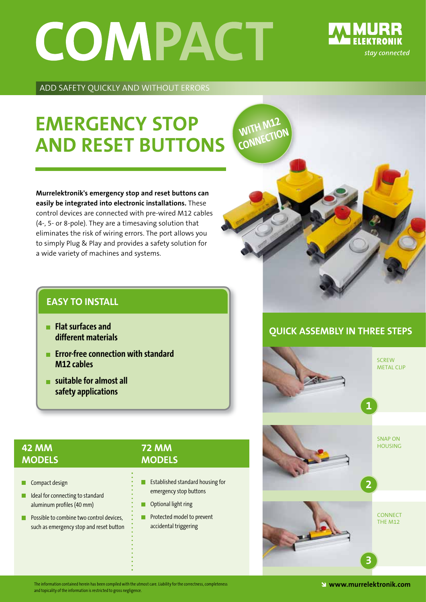# COMPACT



ADD SAFETY QUICKLY AND WITHOUT ERRORS

### **EMERgEnCY StOP And RESEt ButtOnS**

**Murrelektronik's emergency stop and reset buttons can easily be integrated into electronic installations.** These control devices are connected with pre-wired M12 cables (4-, 5- or 8-pole). They are a timesaving solution that eliminates the risk of wiring errors. The port allows you to simply Plug & Play and provides a safety solution for a wide variety of machines and systems.

#### **EASY tO InStALL**

- $\blacksquare$  **Flat** surfaces and **different materials**
- **Example 2 Error-free connection with standard M12** cables
- $\blacksquare$  suitable for almost all  **safety applications**

#### **42 MM MOdELS**

Compact design

I Ideal for connecting to standard aluminum profiles (40 mm)

**Possible to combine two control devices,** such as emergency stop and reset button

#### **72 MM MOdELS**

- **Extrablished standard housing for** emergency stop buttons
- **Optional light ring**
- **Protected model to prevent** accidental triggering



#### **QuICK ASSEMBLY In tHREE StEPS**



The information contained herein has been compiled with the utmost care. Liability for the correctness, completeness  $\blacksquare$ and topicality of the information is restricted to gross negligence. The contract of the information is restri